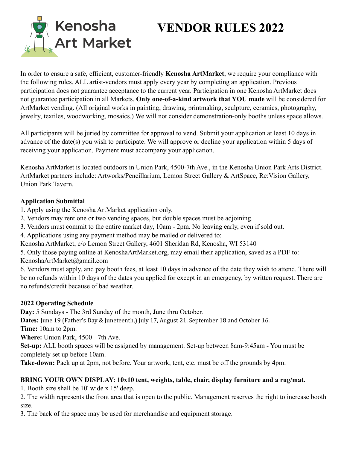

# **VENDOR RULES 2022**

In order to ensure a safe, efficient, customer-friendly **Kenosha ArtMarket**, we require your compliance with the following rules. ALL artist-vendors must apply every year by completing an application. Previous participation does not guarantee acceptance to the current year. Participation in one Kenosha ArtMarket does not guarantee participation in all Markets. **Only one-of-a-kind artwork that YOU made** will be considered for ArtMarket vending. (All original works in painting, drawing, printmaking, sculpture, ceramics, photography, jewelry, textiles, woodworking, mosaics.) We will not consider demonstration-only booths unless space allows.

All participants will be juried by committee for approval to vend. Submit your application at least 10 days in advance of the date(s) you wish to participate. We will approve or decline your application within 5 days of receiving your application. Payment must accompany your application.

Kenosha ArtMarket is located outdoors in Union Park, 4500-7th Ave., in the Kenosha Union Park Arts District. ArtMarket partners include: Artworks/Pencillarium, Lemon Street Gallery & ArtSpace, Re:Vision Gallery, Union Park Tavern.

## **Application Submittal**

- 1. Apply using the Kenosha ArtMarket application only.
- 2. Vendors may rent one or two vending spaces, but double spaces must be adjoining.
- 3. Vendors must commit to the entire market day, 10am 2pm. No leaving early, even if sold out.
- 4. Applications using any payment method may be mailed or delivered to:
- Kenosha ArtMarket, c/o Lemon Street Gallery, 4601 Sheridan Rd, Kenosha, WI 53140
- 5. Only those paying online at KenoshaArtMarket.org, may email their application, saved as a PDF to:

KenoshaArtMarket@gmail.com

6. Vendors must apply, and pay booth fees, at least 10 days in advance of the date they wish to attend. There will be no refunds within 10 days of the dates you applied for except in an emergency, by written request. There are no refunds/credit because of bad weather.

## **2022 Operating Schedule**

**Day:** 5 Sundays - The 3rd Sunday of the month, June thru October.

**Dates:** June 19 (Father's Day & Juneteenth,) July 17, August 21, September 18 and October 16.

**Time:** 10am to 2pm.

**Where:** Union Park, 4500 - 7th Ave.

**Set-up:** ALL booth spaces will be assigned by management. Set-up between 8am-9:45am - You must be completely set up before 10am.

**Take-down:** Pack up at 2pm, not before. Your artwork, tent, etc. must be off the grounds by 4pm.

# **BRING YOUR OWN DISPLAY: 10x10 tent, weights, table, chair, display furniture and a rug/mat.**

1. Booth size shall be 10' wide x 15' deep.

2. The width represents the front area that is open to the public. Management reserves the right to increase booth size.

3. The back of the space may be used for merchandise and equipment storage.